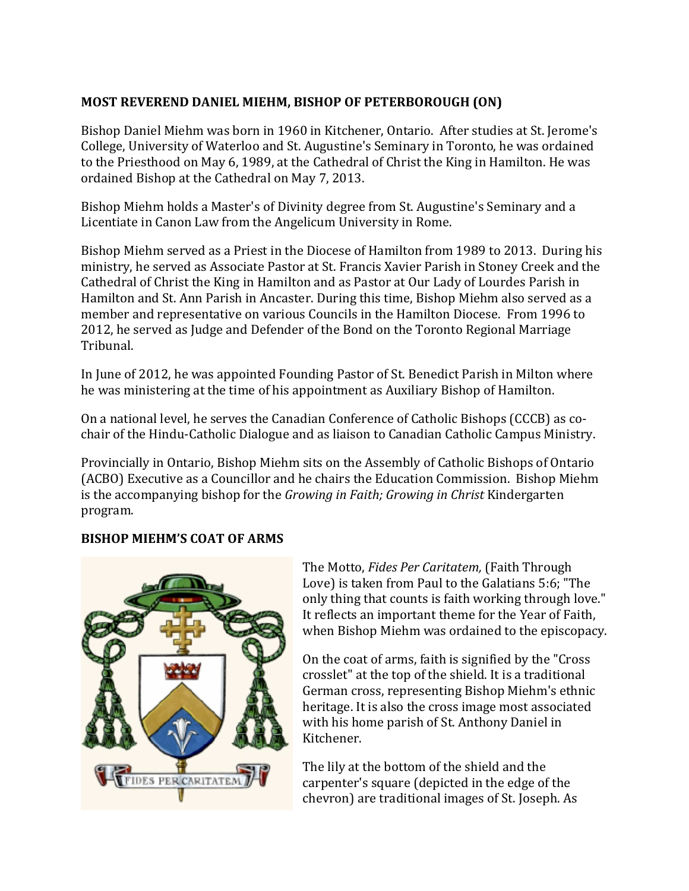## **MOST REVEREND DANIEL MIEHM, BISHOP OF PETERBOROUGH (ON)**

Bishop Daniel Miehm was born in 1960 in Kitchener, Ontario. After studies at St. Jerome's College, University of Waterloo and St. Augustine's Seminary in Toronto, he was ordained to the Priesthood on May 6, 1989, at the Cathedral of Christ the King in Hamilton. He was ordained Bishop at the Cathedral on May 7, 2013.

Bishop Miehm holds a Master's of Divinity degree from St. Augustine's Seminary and a Licentiate in Canon Law from the Angelicum University in Rome.

Bishop Miehm served as a Priest in the Diocese of Hamilton from 1989 to 2013. During his ministry, he served as Associate Pastor at St. Francis Xavier Parish in Stoney Creek and the Cathedral of Christ the King in Hamilton and as Pastor at Our Lady of Lourdes Parish in Hamilton and St. Ann Parish in Ancaster. During this time, Bishop Miehm also served as a member and representative on various Councils in the Hamilton Diocese. From 1996 to 2012, he served as Judge and Defender of the Bond on the Toronto Regional Marriage Tribunal.

In June of 2012, he was appointed Founding Pastor of St. Benedict Parish in Milton where he was ministering at the time of his appointment as Auxiliary Bishop of Hamilton.

On a national level, he serves the Canadian Conference of Catholic Bishops (CCCB) as cochair of the Hindu-Catholic Dialogue and as liaison to Canadian Catholic Campus Ministry.

Provincially in Ontario, Bishop Miehm sits on the Assembly of Catholic Bishops of Ontario (ACBO) Executive as a Councillor and he chairs the Education Commission. Bishop Miehm is the accompanying bishop for the *Growing in Faith; Growing in Christ* Kindergarten program.

## **BISHOP MIEHM'S COAT OF ARMS**



The Motto, *Fides Per Caritatem,* (Faith Through Love) is taken from Paul to the Galatians 5:6; "The only thing that counts is faith working through love." It reflects an important theme for the Year of Faith, when Bishop Miehm was ordained to the episcopacy.

On the coat of arms, faith is signified by the "Cross crosslet" at the top of the shield. It is a traditional German cross, representing Bishop Miehm's ethnic heritage. It is also the cross image most associated with his home parish of St. Anthony Daniel in Kitchener.

The lily at the bottom of the shield and the carpenter's square (depicted in the edge of the chevron) are traditional images of St. Joseph. As